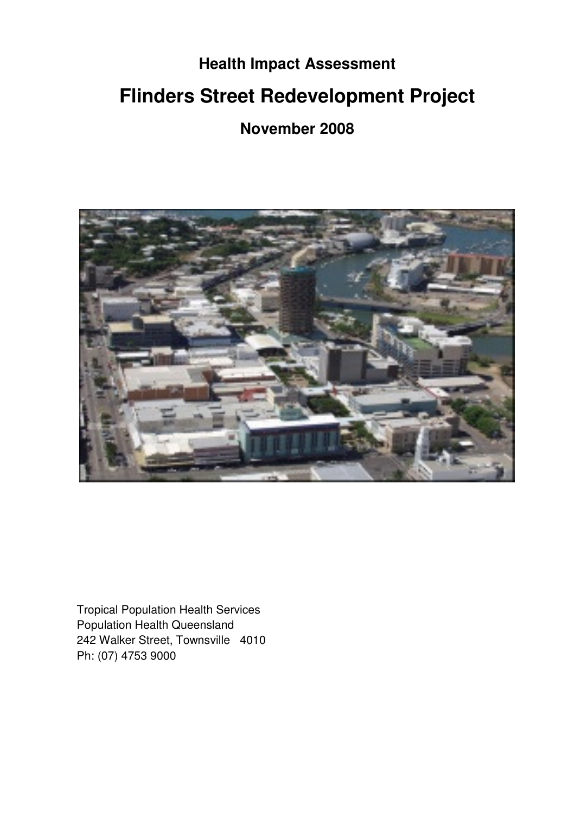# **Health Impact Assessment Flinders Street Redevelopment Project**

**November 2008** 



Tropical Population Health Services Population Health Queensland 242 Walker Street, Townsville 4010 Ph: (07) 4753 9000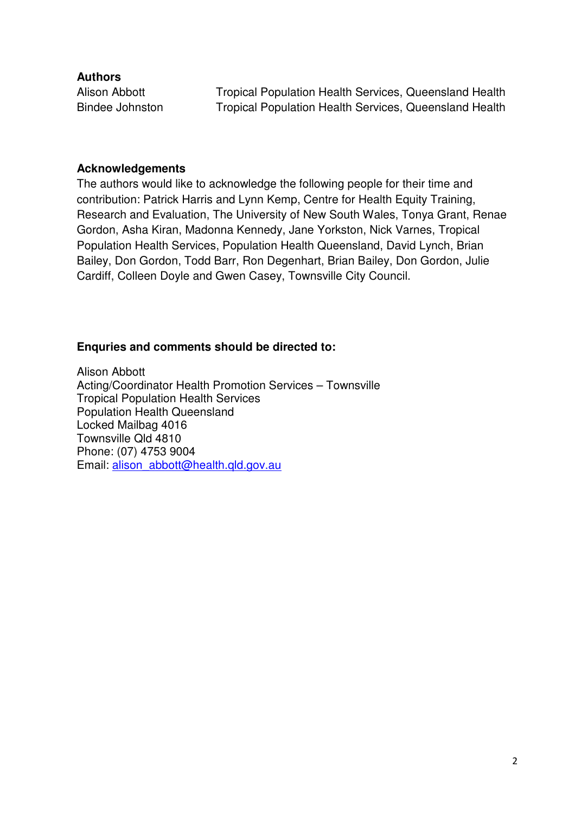**Authors** 

Alison Abbott **Tropical Population Health Services, Queensland Health** Bindee Johnston Tropical Population Health Services, Queensland Health

#### **Acknowledgements**

The authors would like to acknowledge the following people for their time and contribution: Patrick Harris and Lynn Kemp, Centre for Health Equity Training, Research and Evaluation, The University of New South Wales, Tonya Grant, Renae Gordon, Asha Kiran, Madonna Kennedy, Jane Yorkston, Nick Varnes, Tropical Population Health Services, Population Health Queensland, David Lynch, Brian Bailey, Don Gordon, Todd Barr, Ron Degenhart, Brian Bailey, Don Gordon, Julie Cardiff, Colleen Doyle and Gwen Casey, Townsville City Council.

# **Enquries and comments should be directed to:**

Alison Abbott Acting/Coordinator Health Promotion Services – Townsville Tropical Population Health Services Population Health Queensland Locked Mailbag 4016 Townsville Qld 4810 Phone: (07) 4753 9004 Email: alison\_abbott@health.qld.gov.au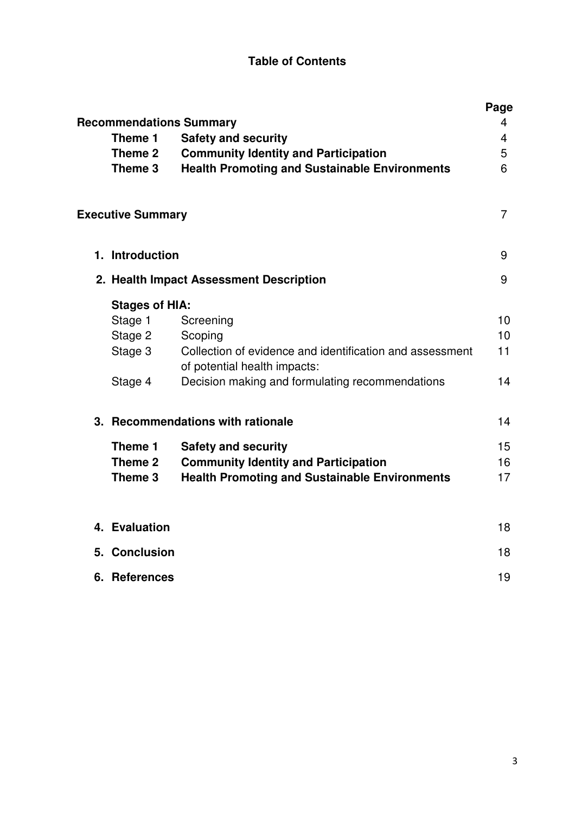# **Table of Contents**

| <b>Recommendations Summary</b> |                                                                                          | Page<br>4      |
|--------------------------------|------------------------------------------------------------------------------------------|----------------|
| Theme 1                        | <b>Safety and security</b>                                                               | 4              |
| Theme 2                        | <b>Community Identity and Participation</b>                                              | 5              |
| Theme 3                        | <b>Health Promoting and Sustainable Environments</b>                                     | 6              |
| <b>Executive Summary</b>       |                                                                                          | $\overline{7}$ |
| 1. Introduction                |                                                                                          | 9              |
|                                | 2. Health Impact Assessment Description                                                  | 9              |
| <b>Stages of HIA:</b>          |                                                                                          |                |
| Stage 1                        | Screening                                                                                | 10             |
| Stage 2                        | Scoping                                                                                  | 10             |
| Stage 3                        | Collection of evidence and identification and assessment<br>of potential health impacts: | 11             |
| Stage 4                        | Decision making and formulating recommendations                                          | 14             |
|                                | 3. Recommendations with rationale                                                        | 14             |
| Theme 1                        | <b>Safety and security</b>                                                               | 15             |
| Theme 2                        | <b>Community Identity and Participation</b>                                              | 16             |
| Theme 3                        | <b>Health Promoting and Sustainable Environments</b>                                     | 17             |
|                                |                                                                                          |                |
| 4. Evaluation                  |                                                                                          | 18             |
| 5. Conclusion                  |                                                                                          | 18             |
| 6. References                  |                                                                                          | 19             |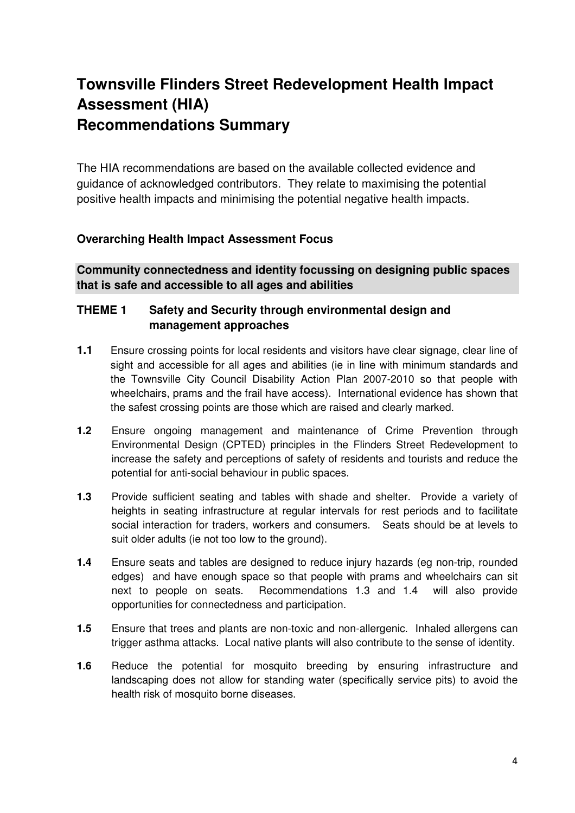# **Townsville Flinders Street Redevelopment Health Impact Assessment (HIA) Recommendations Summary**

The HIA recommendations are based on the available collected evidence and guidance of acknowledged contributors. They relate to maximising the potential positive health impacts and minimising the potential negative health impacts.

# **Overarching Health Impact Assessment Focus**

**Community connectedness and identity focussing on designing public spaces that is safe and accessible to all ages and abilities** 

# **THEME 1 Safety and Security through environmental design and management approaches**

- **1.1** Ensure crossing points for local residents and visitors have clear signage, clear line of sight and accessible for all ages and abilities (ie in line with minimum standards and the Townsville City Council Disability Action Plan 2007-2010 so that people with wheelchairs, prams and the frail have access). International evidence has shown that the safest crossing points are those which are raised and clearly marked.
- **1.2** Ensure ongoing management and maintenance of Crime Prevention through Environmental Design (CPTED) principles in the Flinders Street Redevelopment to increase the safety and perceptions of safety of residents and tourists and reduce the potential for anti-social behaviour in public spaces.
- **1.3** Provide sufficient seating and tables with shade and shelter. Provide a variety of heights in seating infrastructure at regular intervals for rest periods and to facilitate social interaction for traders, workers and consumers. Seats should be at levels to suit older adults (ie not too low to the ground).
- **1.4** Ensure seats and tables are designed to reduce injury hazards (eg non-trip, rounded edges) and have enough space so that people with prams and wheelchairs can sit next to people on seats. Recommendations 1.3 and 1.4 will also provide opportunities for connectedness and participation.
- **1.5** Ensure that trees and plants are non-toxic and non-allergenic. Inhaled allergens can trigger asthma attacks. Local native plants will also contribute to the sense of identity.
- **1.6** Reduce the potential for mosquito breeding by ensuring infrastructure and landscaping does not allow for standing water (specifically service pits) to avoid the health risk of mosquito borne diseases.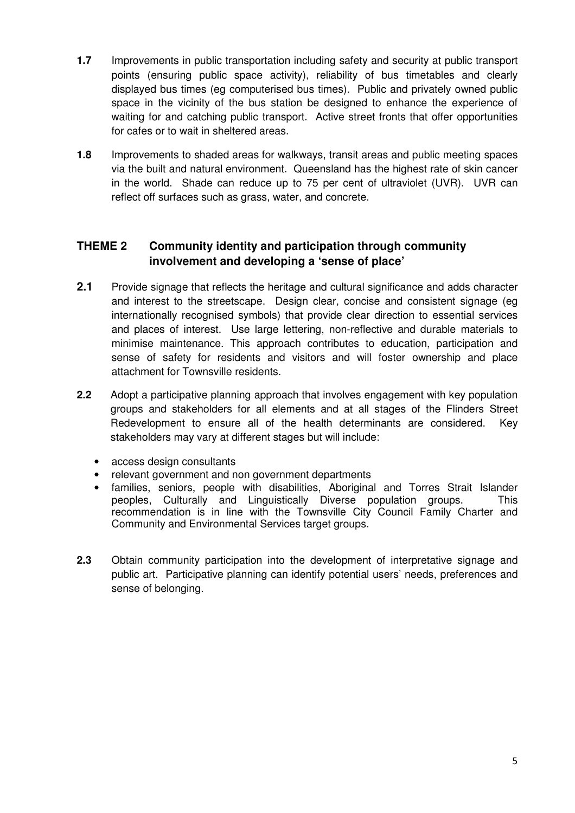- **1.7** Improvements in public transportation including safety and security at public transport points (ensuring public space activity), reliability of bus timetables and clearly displayed bus times (eg computerised bus times). Public and privately owned public space in the vicinity of the bus station be designed to enhance the experience of waiting for and catching public transport. Active street fronts that offer opportunities for cafes or to wait in sheltered areas.
- **1.8** Improvements to shaded areas for walkways, transit areas and public meeting spaces via the built and natural environment. Queensland has the highest rate of skin cancer in the world. Shade can reduce up to 75 per cent of ultraviolet (UVR). UVR can reflect off surfaces such as grass, water, and concrete.

# **THEME 2 Community identity and participation through community involvement and developing a 'sense of place'**

- **2.1** Provide signage that reflects the heritage and cultural significance and adds character and interest to the streetscape. Design clear, concise and consistent signage (eg internationally recognised symbols) that provide clear direction to essential services and places of interest. Use large lettering, non-reflective and durable materials to minimise maintenance. This approach contributes to education, participation and sense of safety for residents and visitors and will foster ownership and place attachment for Townsville residents.
- **2.2** Adopt a participative planning approach that involves engagement with key population groups and stakeholders for all elements and at all stages of the Flinders Street Redevelopment to ensure all of the health determinants are considered. Key stakeholders may vary at different stages but will include:
	- access design consultants
	- relevant government and non government departments
	- families, seniors, people with disabilities, Aboriginal and Torres Strait Islander peoples, Culturally and Linguistically Diverse population groups. This recommendation is in line with the Townsville City Council Family Charter and Community and Environmental Services target groups.
- **2.3** Obtain community participation into the development of interpretative signage and public art. Participative planning can identify potential users' needs, preferences and sense of belonging.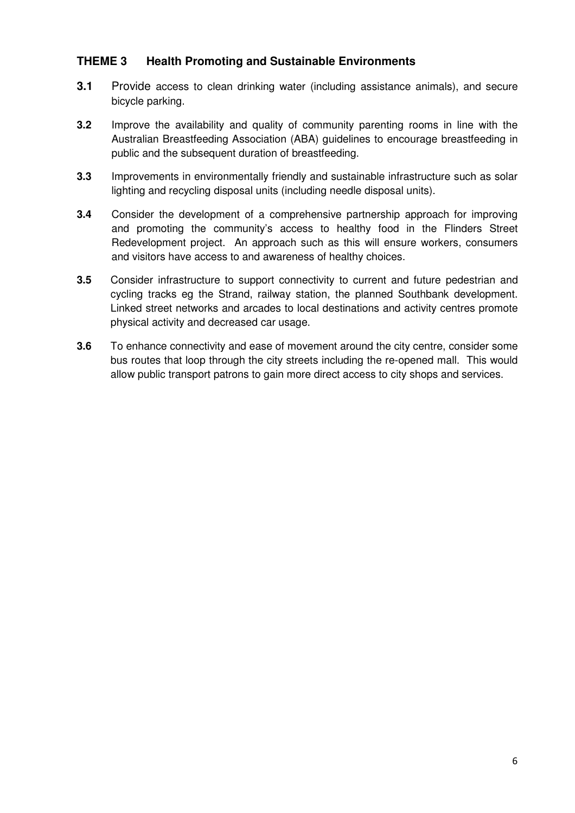# **THEME 3 Health Promoting and Sustainable Environments**

- **3.1** Provide access to clean drinking water (including assistance animals), and secure bicycle parking.
- **3.2** Improve the availability and quality of community parenting rooms in line with the Australian Breastfeeding Association (ABA) guidelines to encourage breastfeeding in public and the subsequent duration of breastfeeding.
- **3.3** Improvements in environmentally friendly and sustainable infrastructure such as solar lighting and recycling disposal units (including needle disposal units).
- **3.4** Consider the development of a comprehensive partnership approach for improving and promoting the community's access to healthy food in the Flinders Street Redevelopment project. An approach such as this will ensure workers, consumers and visitors have access to and awareness of healthy choices.
- **3.5** Consider infrastructure to support connectivity to current and future pedestrian and cycling tracks eg the Strand, railway station, the planned Southbank development. Linked street networks and arcades to local destinations and activity centres promote physical activity and decreased car usage.
- **3.6** To enhance connectivity and ease of movement around the city centre, consider some bus routes that loop through the city streets including the re-opened mall. This would allow public transport patrons to gain more direct access to city shops and services.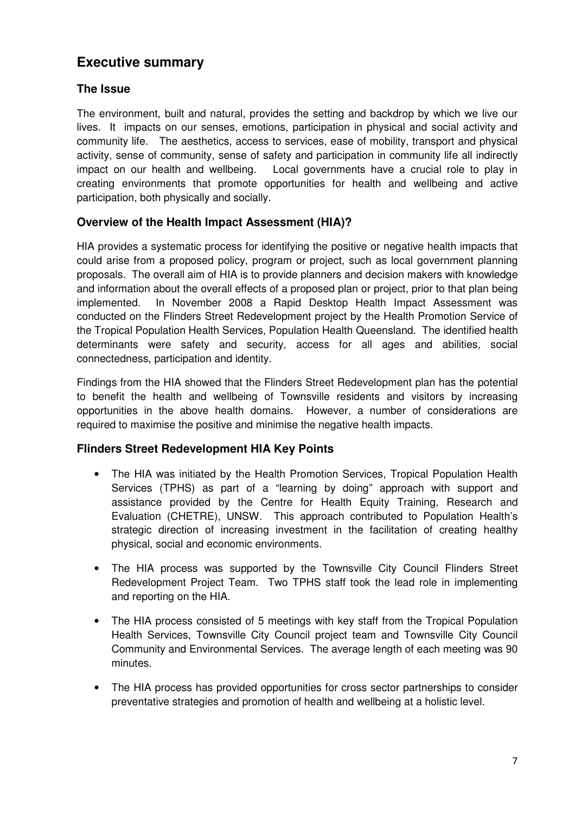# **Executive summary**

# **The Issue**

The environment, built and natural, provides the setting and backdrop by which we live our lives. It impacts on our senses, emotions, participation in physical and social activity and community life. The aesthetics, access to services, ease of mobility, transport and physical activity, sense of community, sense of safety and participation in community life all indirectly impact on our health and wellbeing. Local governments have a crucial role to play in creating environments that promote opportunities for health and wellbeing and active participation, both physically and socially.

# **Overview of the Health Impact Assessment (HIA)?**

HIA provides a systematic process for identifying the positive or negative health impacts that could arise from a proposed policy, program or project, such as local government planning proposals. The overall aim of HIA is to provide planners and decision makers with knowledge and information about the overall effects of a proposed plan or project, prior to that plan being implemented. In November 2008 a Rapid Desktop Health Impact Assessment was conducted on the Flinders Street Redevelopment project by the Health Promotion Service of the Tropical Population Health Services, Population Health Queensland. The identified health determinants were safety and security, access for all ages and abilities, social connectedness, participation and identity.

Findings from the HIA showed that the Flinders Street Redevelopment plan has the potential to benefit the health and wellbeing of Townsville residents and visitors by increasing opportunities in the above health domains. However, a number of considerations are required to maximise the positive and minimise the negative health impacts.

# **Flinders Street Redevelopment HIA Key Points**

- The HIA was initiated by the Health Promotion Services, Tropical Population Health Services (TPHS) as part of a "learning by doing" approach with support and assistance provided by the Centre for Health Equity Training, Research and Evaluation (CHETRE), UNSW. This approach contributed to Population Health's strategic direction of increasing investment in the facilitation of creating healthy physical, social and economic environments.
- The HIA process was supported by the Townsville City Council Flinders Street Redevelopment Project Team. Two TPHS staff took the lead role in implementing and reporting on the HIA.
- The HIA process consisted of 5 meetings with key staff from the Tropical Population Health Services, Townsville City Council project team and Townsville City Council Community and Environmental Services. The average length of each meeting was 90 minutes.
- The HIA process has provided opportunities for cross sector partnerships to consider preventative strategies and promotion of health and wellbeing at a holistic level.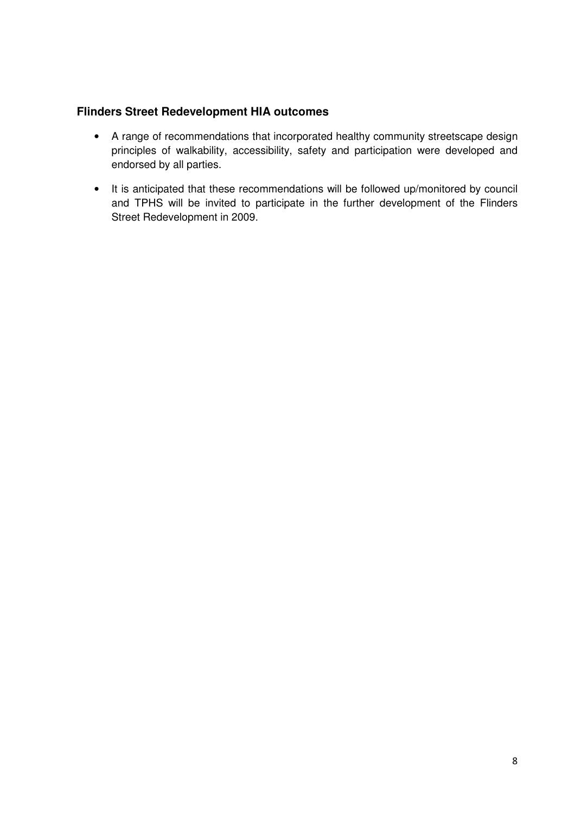#### **Flinders Street Redevelopment HIA outcomes**

- A range of recommendations that incorporated healthy community streetscape design principles of walkability, accessibility, safety and participation were developed and endorsed by all parties.
- It is anticipated that these recommendations will be followed up/monitored by council and TPHS will be invited to participate in the further development of the Flinders Street Redevelopment in 2009.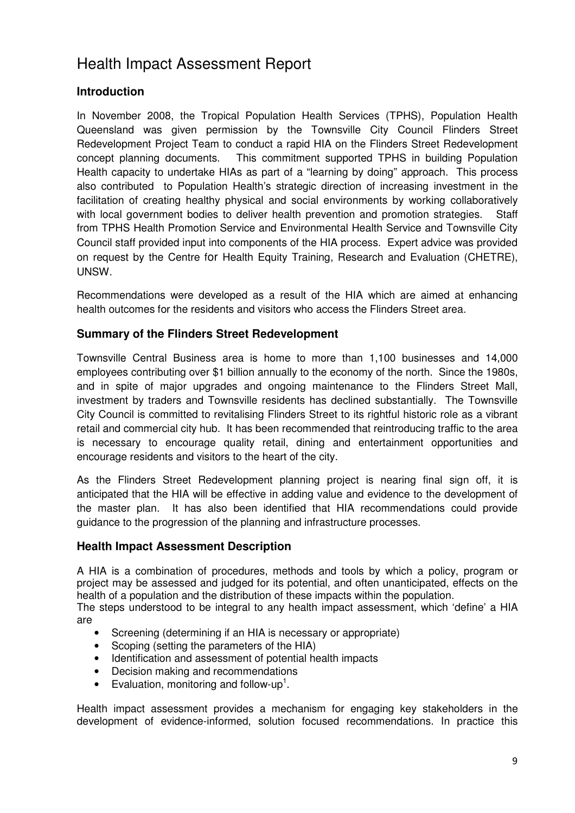# Health Impact Assessment Report

# **Introduction**

In November 2008, the Tropical Population Health Services (TPHS), Population Health Queensland was given permission by the Townsville City Council Flinders Street Redevelopment Project Team to conduct a rapid HIA on the Flinders Street Redevelopment concept planning documents. This commitment supported TPHS in building Population Health capacity to undertake HIAs as part of a "learning by doing" approach. This process also contributed to Population Health's strategic direction of increasing investment in the facilitation of creating healthy physical and social environments by working collaboratively with local government bodies to deliver health prevention and promotion strategies. Staff from TPHS Health Promotion Service and Environmental Health Service and Townsville City Council staff provided input into components of the HIA process. Expert advice was provided on request by the Centre for Health Equity Training, Research and Evaluation (CHETRE), **UNSW.** 

Recommendations were developed as a result of the HIA which are aimed at enhancing health outcomes for the residents and visitors who access the Flinders Street area.

#### **Summary of the Flinders Street Redevelopment**

Townsville Central Business area is home to more than 1,100 businesses and 14,000 employees contributing over \$1 billion annually to the economy of the north. Since the 1980s, and in spite of major upgrades and ongoing maintenance to the Flinders Street Mall, investment by traders and Townsville residents has declined substantially. The Townsville City Council is committed to revitalising Flinders Street to its rightful historic role as a vibrant retail and commercial city hub. It has been recommended that reintroducing traffic to the area is necessary to encourage quality retail, dining and entertainment opportunities and encourage residents and visitors to the heart of the city.

As the Flinders Street Redevelopment planning project is nearing final sign off, it is anticipated that the HIA will be effective in adding value and evidence to the development of the master plan. It has also been identified that HIA recommendations could provide guidance to the progression of the planning and infrastructure processes.

#### **Health Impact Assessment Description**

A HIA is a combination of procedures, methods and tools by which a policy, program or project may be assessed and judged for its potential, and often unanticipated, effects on the health of a population and the distribution of these impacts within the population.

The steps understood to be integral to any health impact assessment, which 'define' a HIA are

- Screening (determining if an HIA is necessary or appropriate)
- Scoping (setting the parameters of the HIA)
- Identification and assessment of potential health impacts
- Decision making and recommendations
- Evaluation, monitoring and follow-up<sup>1</sup>.

Health impact assessment provides a mechanism for engaging key stakeholders in the development of evidence-informed, solution focused recommendations. In practice this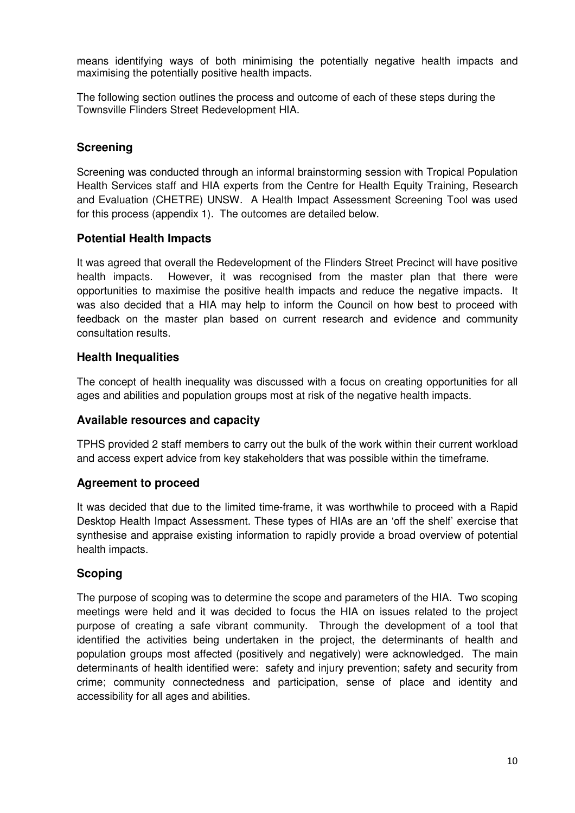means identifying ways of both minimising the potentially negative health impacts and maximising the potentially positive health impacts.

The following section outlines the process and outcome of each of these steps during the Townsville Flinders Street Redevelopment HIA.

#### **Screening**

Screening was conducted through an informal brainstorming session with Tropical Population Health Services staff and HIA experts from the Centre for Health Equity Training, Research and Evaluation (CHETRE) UNSW. A Health Impact Assessment Screening Tool was used for this process (appendix 1). The outcomes are detailed below.

#### **Potential Health Impacts**

It was agreed that overall the Redevelopment of the Flinders Street Precinct will have positive health impacts. However, it was recognised from the master plan that there were opportunities to maximise the positive health impacts and reduce the negative impacts. It was also decided that a HIA may help to inform the Council on how best to proceed with feedback on the master plan based on current research and evidence and community consultation results.

#### **Health Inequalities**

The concept of health inequality was discussed with a focus on creating opportunities for all ages and abilities and population groups most at risk of the negative health impacts.

#### **Available resources and capacity**

TPHS provided 2 staff members to carry out the bulk of the work within their current workload and access expert advice from key stakeholders that was possible within the timeframe.

#### **Agreement to proceed**

It was decided that due to the limited time-frame, it was worthwhile to proceed with a Rapid Desktop Health Impact Assessment. These types of HIAs are an 'off the shelf' exercise that synthesise and appraise existing information to rapidly provide a broad overview of potential health impacts.

#### **Scoping**

The purpose of scoping was to determine the scope and parameters of the HIA. Two scoping meetings were held and it was decided to focus the HIA on issues related to the project purpose of creating a safe vibrant community. Through the development of a tool that identified the activities being undertaken in the project, the determinants of health and population groups most affected (positively and negatively) were acknowledged. The main determinants of health identified were: safety and injury prevention; safety and security from crime; community connectedness and participation, sense of place and identity and accessibility for all ages and abilities.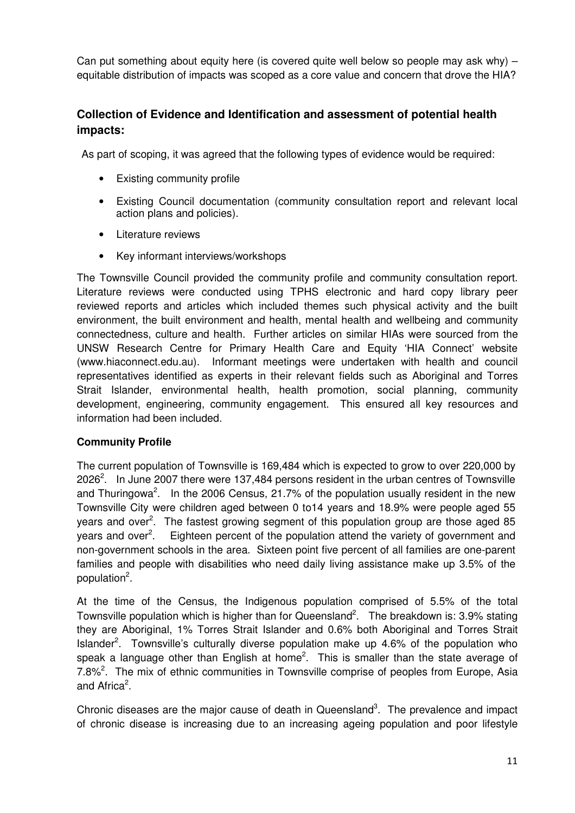Can put something about equity here (is covered quite well below so people may ask why) – equitable distribution of impacts was scoped as a core value and concern that drove the HIA?

# **Collection of Evidence and Identification and assessment of potential health impacts:**

As part of scoping, it was agreed that the following types of evidence would be required:

- Existing community profile
- Existing Council documentation (community consultation report and relevant local action plans and policies).
- Literature reviews
- Key informant interviews/workshops

The Townsville Council provided the community profile and community consultation report. Literature reviews were conducted using TPHS electronic and hard copy library peer reviewed reports and articles which included themes such physical activity and the built environment, the built environment and health, mental health and wellbeing and community connectedness, culture and health. Further articles on similar HIAs were sourced from the UNSW Research Centre for Primary Health Care and Equity 'HIA Connect' website (www.hiaconnect.edu.au). Informant meetings were undertaken with health and council representatives identified as experts in their relevant fields such as Aboriginal and Torres Strait Islander, environmental health, health promotion, social planning, community development, engineering, community engagement. This ensured all key resources and information had been included.

# **Community Profile**

The current population of Townsville is 169,484 which is expected to grow to over 220,000 by 2026<sup>2</sup>. In June 2007 there were 137,484 persons resident in the urban centres of Townsville and Thuringowa<sup>2</sup>. In the 2006 Census, 21.7% of the population usually resident in the new Townsville City were children aged between 0 to14 years and 18.9% were people aged 55 years and over<sup>2</sup>. The fastest growing segment of this population group are those aged 85 years and over<sup>2</sup>. . Eighteen percent of the population attend the variety of government and non-government schools in the area. Sixteen point five percent of all families are one-parent families and people with disabilities who need daily living assistance make up 3.5% of the population<sup>2</sup>.

At the time of the Census, the Indigenous population comprised of 5.5% of the total Townsville population which is higher than for Queensland<sup>2</sup>. The breakdown is: 3.9% stating they are Aboriginal, 1% Torres Strait Islander and 0.6% both Aboriginal and Torres Strait Islander<sup>2</sup>. Townsville's culturally diverse population make up 4.6% of the population who speak a language other than English at home<sup>2</sup>. This is smaller than the state average of 7.8%<sup>2</sup>. The mix of ethnic communities in Townsville comprise of peoples from Europe, Asia and Africa<sup>2</sup>.

Chronic diseases are the major cause of death in Queensland<sup>3</sup>. The prevalence and impact of chronic disease is increasing due to an increasing ageing population and poor lifestyle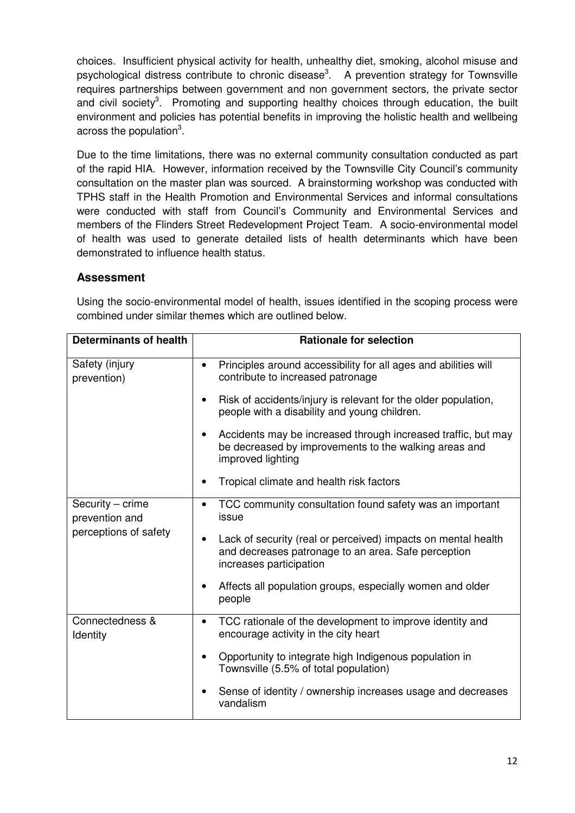choices. Insufficient physical activity for health, unhealthy diet, smoking, alcohol misuse and psychological distress contribute to chronic disease<sup>3</sup>. A prevention strategy for Townsville requires partnerships between government and non government sectors, the private sector and civil society<sup>3</sup>. Promoting and supporting healthy choices through education, the built environment and policies has potential benefits in improving the holistic health and wellbeing across the population $3$ .

Due to the time limitations, there was no external community consultation conducted as part of the rapid HIA. However, information received by the Townsville City Council's community consultation on the master plan was sourced. A brainstorming workshop was conducted with TPHS staff in the Health Promotion and Environmental Services and informal consultations were conducted with staff from Council's Community and Environmental Services and members of the Flinders Street Redevelopment Project Team. A socio-environmental model of health was used to generate detailed lists of health determinants which have been demonstrated to influence health status.

#### **Assessment**

| <b>Determinants of health</b>      | <b>Rationale for selection</b>                                                                                                                               |
|------------------------------------|--------------------------------------------------------------------------------------------------------------------------------------------------------------|
| Safety (injury<br>prevention)      | Principles around accessibility for all ages and abilities will<br>$\bullet$<br>contribute to increased patronage                                            |
|                                    | Risk of accidents/injury is relevant for the older population,<br>$\bullet$<br>people with a disability and young children.                                  |
|                                    | Accidents may be increased through increased traffic, but may<br>$\bullet$<br>be decreased by improvements to the walking areas and<br>improved lighting     |
|                                    | Tropical climate and health risk factors<br>$\bullet$                                                                                                        |
| Security - crime<br>prevention and | TCC community consultation found safety was an important<br>$\bullet$<br>issue                                                                               |
| perceptions of safety              | Lack of security (real or perceived) impacts on mental health<br>$\bullet$<br>and decreases patronage to an area. Safe perception<br>increases participation |
|                                    | Affects all population groups, especially women and older<br>٠<br>people                                                                                     |
| Connectedness &<br>Identity        | TCC rationale of the development to improve identity and<br>$\bullet$<br>encourage activity in the city heart                                                |
|                                    | Opportunity to integrate high Indigenous population in<br>$\bullet$<br>Townsville (5.5% of total population)                                                 |
|                                    | Sense of identity / ownership increases usage and decreases<br>vandalism                                                                                     |

Using the socio-environmental model of health, issues identified in the scoping process were combined under similar themes which are outlined below.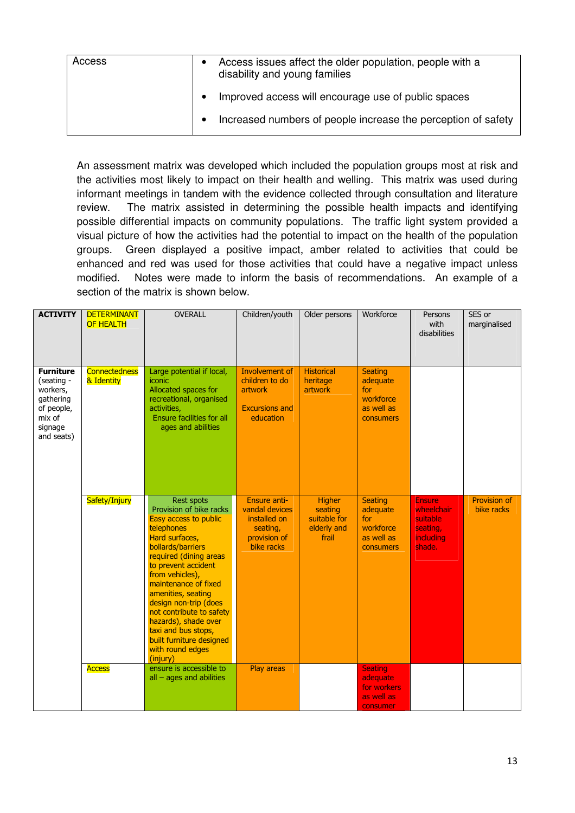| Access | $\bullet$ | Access issues affect the older population, people with a<br>disability and young families |
|--------|-----------|-------------------------------------------------------------------------------------------|
|        |           | Improved access will encourage use of public spaces                                       |
|        |           | Increased numbers of people increase the perception of safety                             |

An assessment matrix was developed which included the population groups most at risk and the activities most likely to impact on their health and welling. This matrix was used during informant meetings in tandem with the evidence collected through consultation and literature review. The matrix assisted in determining the possible health impacts and identifying possible differential impacts on community populations. The traffic light system provided a visual picture of how the activities had the potential to impact on the health of the population groups. Green displayed a positive impact, amber related to activities that could be enhanced and red was used for those activities that could have a negative impact unless modified. Notes were made to inform the basis of recommendations. An example of a section of the matrix is shown below.

| <b>ACTIVITY</b>                                                                                          | <b>DETERMINANT</b><br><b>OF HEALTH</b> | <b>OVERALL</b>                                                                                                                                                                                                                                                                                                                                                                                               | Children/youth                                                                                  | Older persons                                                    | Workforce                                                                        | Persons<br>with<br>disabilities                                            | SES or<br>marginalised            |
|----------------------------------------------------------------------------------------------------------|----------------------------------------|--------------------------------------------------------------------------------------------------------------------------------------------------------------------------------------------------------------------------------------------------------------------------------------------------------------------------------------------------------------------------------------------------------------|-------------------------------------------------------------------------------------------------|------------------------------------------------------------------|----------------------------------------------------------------------------------|----------------------------------------------------------------------------|-----------------------------------|
| <b>Furniture</b><br>(seating -<br>workers,<br>gathering<br>of people,<br>mix of<br>signage<br>and seats) | <b>Connectedness</b><br>& Identity     | Large potential if local,<br>iconic<br>Allocated spaces for<br>recreational, organised<br>activities,<br><b>Ensure facilities for all</b><br>ages and abilities                                                                                                                                                                                                                                              | Involvement of<br>children to do<br>artwork<br><b>Excursions and</b><br>education               | <b>Historical</b><br>heritage<br>artwork                         | <b>Seating</b><br>adequate<br>for<br>workforce<br>as well as<br><b>consumers</b> |                                                                            |                                   |
|                                                                                                          | Safety/Injury                          | <b>Rest spots</b><br>Provision of bike racks<br>Easy access to public<br>telephones<br>Hard surfaces,<br>bollards/barriers<br>required (dining areas<br>to prevent accident<br>from vehicles),<br>maintenance of fixed<br>amenities, seating<br>design non-trip (does<br>not contribute to safety<br>hazards), shade over<br>taxi and bus stops,<br>built furniture designed<br>with round edges<br>(injury) | <b>Ensure anti-</b><br>vandal devices<br>installed on<br>seating,<br>provision of<br>bike racks | <b>Higher</b><br>seating<br>suitable for<br>elderly and<br>frail | <b>Seating</b><br>adequate<br>for<br>workforce<br>as well as<br>consumers        | <b>Ensure</b><br>wheelchair<br>suitable<br>seating,<br>including<br>shade. | <b>Provision of</b><br>bike racks |
|                                                                                                          | <b>Access</b>                          | ensure is accessible to<br>$all - ages$ and abilities                                                                                                                                                                                                                                                                                                                                                        | <b>Play areas</b>                                                                               |                                                                  | <b>Seating</b><br>adequate<br>for workers<br>as well as<br>consumer              |                                                                            |                                   |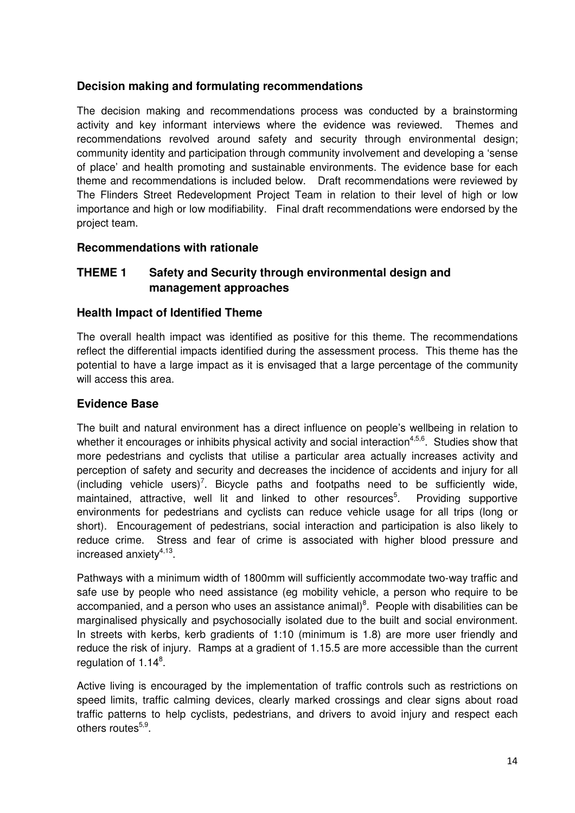# **Decision making and formulating recommendations**

The decision making and recommendations process was conducted by a brainstorming activity and key informant interviews where the evidence was reviewed. Themes and recommendations revolved around safety and security through environmental design; community identity and participation through community involvement and developing a 'sense of place' and health promoting and sustainable environments. The evidence base for each theme and recommendations is included below. Draft recommendations were reviewed by The Flinders Street Redevelopment Project Team in relation to their level of high or low importance and high or low modifiability. Final draft recommendations were endorsed by the project team.

# **Recommendations with rationale**

# **THEME 1 Safety and Security through environmental design and management approaches**

#### **Health Impact of Identified Theme**

The overall health impact was identified as positive for this theme. The recommendations reflect the differential impacts identified during the assessment process. This theme has the potential to have a large impact as it is envisaged that a large percentage of the community will access this area.

#### **Evidence Base**

The built and natural environment has a direct influence on people's wellbeing in relation to whether it encourages or inhibits physical activity and social interaction<sup>4,5,6</sup>. Studies show that more pedestrians and cyclists that utilise a particular area actually increases activity and perception of safety and security and decreases the incidence of accidents and injury for all  $(including vehicle users)^7$ . Bicycle paths and footpaths need to be sufficiently wide, maintained, attractive, well lit and linked to other resources<sup>5</sup>. . Providing supportive environments for pedestrians and cyclists can reduce vehicle usage for all trips (long or short). Encouragement of pedestrians, social interaction and participation is also likely to reduce crime. Stress and fear of crime is associated with higher blood pressure and increased anxiety<sup>4,13</sup>.

Pathways with a minimum width of 1800mm will sufficiently accommodate two-way traffic and safe use by people who need assistance (eg mobility vehicle, a person who require to be accompanied, and a person who uses an assistance animal) $8$ . People with disabilities can be marginalised physically and psychosocially isolated due to the built and social environment. In streets with kerbs, kerb gradients of 1:10 (minimum is 1.8) are more user friendly and reduce the risk of injury. Ramps at a gradient of 1.15.5 are more accessible than the current regulation of 1.14<sup>8</sup>.

Active living is encouraged by the implementation of traffic controls such as restrictions on speed limits, traffic calming devices, clearly marked crossings and clear signs about road traffic patterns to help cyclists, pedestrians, and drivers to avoid injury and respect each others routes<sup>5,9</sup>.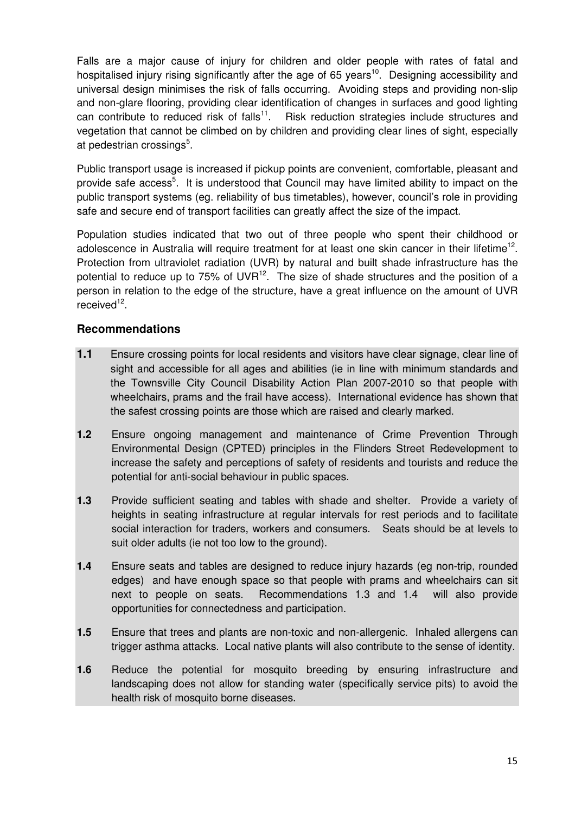Falls are a major cause of injury for children and older people with rates of fatal and hospitalised injury rising significantly after the age of 65 years<sup>10</sup>. Designing accessibility and universal design minimises the risk of falls occurring. Avoiding steps and providing non-slip and non-glare flooring, providing clear identification of changes in surfaces and good lighting can contribute to reduced risk of falls<sup>11</sup>. Risk reduction strategies include structures and vegetation that cannot be climbed on by children and providing clear lines of sight, especially at pedestrian crossings<sup>5</sup>.

Public transport usage is increased if pickup points are convenient, comfortable, pleasant and provide safe access<sup>5</sup>. It is understood that Council may have limited ability to impact on the public transport systems (eg. reliability of bus timetables), however, council's role in providing safe and secure end of transport facilities can greatly affect the size of the impact.

Population studies indicated that two out of three people who spent their childhood or adolescence in Australia will require treatment for at least one skin cancer in their lifetime<sup>12</sup>. Protection from ultraviolet radiation (UVR) by natural and built shade infrastructure has the potential to reduce up to 75% of  $UVR^{12}$ . The size of shade structures and the position of a person in relation to the edge of the structure, have a great influence on the amount of UVR received<sup>12</sup>.

# **Recommendations**

- **1.1** Ensure crossing points for local residents and visitors have clear signage, clear line of sight and accessible for all ages and abilities (ie in line with minimum standards and the Townsville City Council Disability Action Plan 2007-2010 so that people with wheelchairs, prams and the frail have access). International evidence has shown that the safest crossing points are those which are raised and clearly marked.
- **1.2** Ensure ongoing management and maintenance of Crime Prevention Through Environmental Design (CPTED) principles in the Flinders Street Redevelopment to increase the safety and perceptions of safety of residents and tourists and reduce the potential for anti-social behaviour in public spaces.
- **1.3** Provide sufficient seating and tables with shade and shelter. Provide a variety of heights in seating infrastructure at regular intervals for rest periods and to facilitate social interaction for traders, workers and consumers. Seats should be at levels to suit older adults (ie not too low to the ground).
- **1.4** Ensure seats and tables are designed to reduce injury hazards (eg non-trip, rounded edges) and have enough space so that people with prams and wheelchairs can sit next to people on seats. Recommendations 1.3 and 1.4 will also provide opportunities for connectedness and participation.
- **1.5** Ensure that trees and plants are non-toxic and non-allergenic. Inhaled allergens can trigger asthma attacks. Local native plants will also contribute to the sense of identity.
- **1.6** Reduce the potential for mosquito breeding by ensuring infrastructure and landscaping does not allow for standing water (specifically service pits) to avoid the health risk of mosquito borne diseases.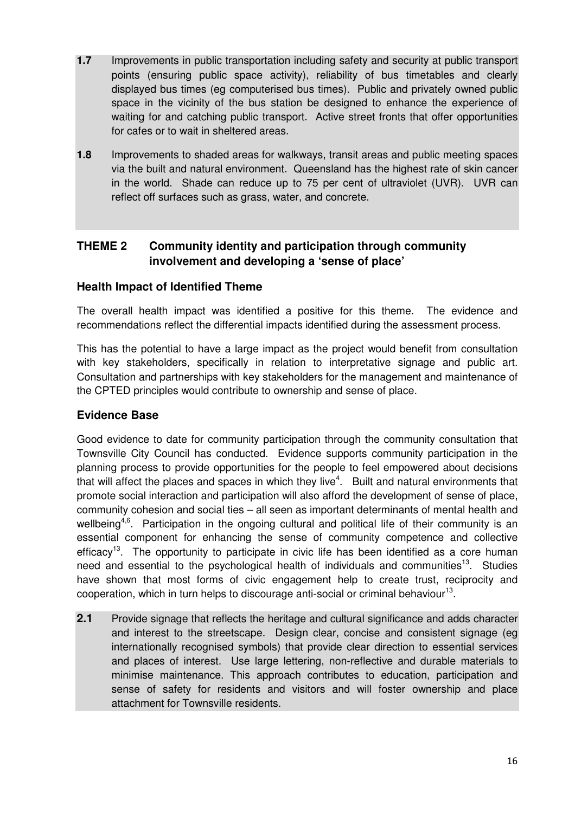- **1.7** Improvements in public transportation including safety and security at public transport points (ensuring public space activity), reliability of bus timetables and clearly displayed bus times (eg computerised bus times). Public and privately owned public space in the vicinity of the bus station be designed to enhance the experience of waiting for and catching public transport. Active street fronts that offer opportunities for cafes or to wait in sheltered areas.
- **1.8** Improvements to shaded areas for walkways, transit areas and public meeting spaces via the built and natural environment. Queensland has the highest rate of skin cancer in the world. Shade can reduce up to 75 per cent of ultraviolet (UVR). UVR can reflect off surfaces such as grass, water, and concrete.

# **THEME 2 Community identity and participation through community involvement and developing a 'sense of place'**

# **Health Impact of Identified Theme**

The overall health impact was identified a positive for this theme. The evidence and recommendations reflect the differential impacts identified during the assessment process.

This has the potential to have a large impact as the project would benefit from consultation with key stakeholders, specifically in relation to interpretative signage and public art. Consultation and partnerships with key stakeholders for the management and maintenance of the CPTED principles would contribute to ownership and sense of place.

#### **Evidence Base**

Good evidence to date for community participation through the community consultation that Townsville City Council has conducted. Evidence supports community participation in the planning process to provide opportunities for the people to feel empowered about decisions that will affect the places and spaces in which they live<sup>4</sup>. Built and natural environments that promote social interaction and participation will also afford the development of sense of place, community cohesion and social ties – all seen as important determinants of mental health and wellbeing<sup>4,6</sup>. Participation in the ongoing cultural and political life of their community is an essential component for enhancing the sense of community competence and collective efficacy<sup>13</sup>. The opportunity to participate in civic life has been identified as a core human need and essential to the psychological health of individuals and communities<sup>13</sup>. Studies have shown that most forms of civic engagement help to create trust, reciprocity and cooperation, which in turn helps to discourage anti-social or criminal behaviour<sup>13</sup>.

**2.1** Provide signage that reflects the heritage and cultural significance and adds character and interest to the streetscape. Design clear, concise and consistent signage (eg internationally recognised symbols) that provide clear direction to essential services and places of interest. Use large lettering, non-reflective and durable materials to minimise maintenance. This approach contributes to education, participation and sense of safety for residents and visitors and will foster ownership and place attachment for Townsville residents.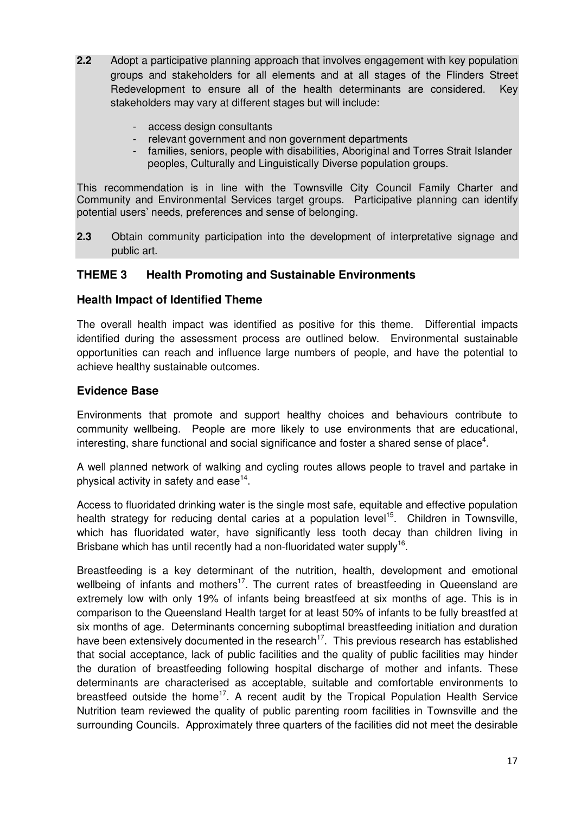- **2.2** Adopt a participative planning approach that involves engagement with key population groups and stakeholders for all elements and at all stages of the Flinders Street Redevelopment to ensure all of the health determinants are considered. Key stakeholders may vary at different stages but will include:
	- access design consultants
	- relevant government and non government departments
	- families, seniors, people with disabilities, Aboriginal and Torres Strait Islander peoples, Culturally and Linguistically Diverse population groups.

This recommendation is in line with the Townsville City Council Family Charter and Community and Environmental Services target groups. Participative planning can identify potential users' needs, preferences and sense of belonging.

**2.3** Obtain community participation into the development of interpretative signage and public art.

# **THEME 3 Health Promoting and Sustainable Environments**

#### **Health Impact of Identified Theme**

The overall health impact was identified as positive for this theme. Differential impacts identified during the assessment process are outlined below. Environmental sustainable opportunities can reach and influence large numbers of people, and have the potential to achieve healthy sustainable outcomes.

#### **Evidence Base**

Environments that promote and support healthy choices and behaviours contribute to community wellbeing. People are more likely to use environments that are educational, interesting, share functional and social significance and foster a shared sense of place<sup>4</sup>.

A well planned network of walking and cycling routes allows people to travel and partake in physical activity in safety and ease $^{14}$ .

Access to fluoridated drinking water is the single most safe, equitable and effective population health strategy for reducing dental caries at a population level<sup>15</sup>. Children in Townsville, which has fluoridated water, have significantly less tooth decay than children living in Brisbane which has until recently had a non-fluoridated water supply<sup>16</sup>.

Breastfeeding is a key determinant of the nutrition, health, development and emotional wellbeing of infants and mothers<sup>17</sup>. The current rates of breastfeeding in Queensland are extremely low with only 19% of infants being breastfeed at six months of age. This is in comparison to the Queensland Health target for at least 50% of infants to be fully breastfed at six months of age. Determinants concerning suboptimal breastfeeding initiation and duration have been extensively documented in the research<sup>17</sup>. This previous research has established that social acceptance, lack of public facilities and the quality of public facilities may hinder the duration of breastfeeding following hospital discharge of mother and infants. These determinants are characterised as acceptable, suitable and comfortable environments to breastfeed outside the home<sup>17</sup>. A recent audit by the Tropical Population Health Service Nutrition team reviewed the quality of public parenting room facilities in Townsville and the surrounding Councils. Approximately three quarters of the facilities did not meet the desirable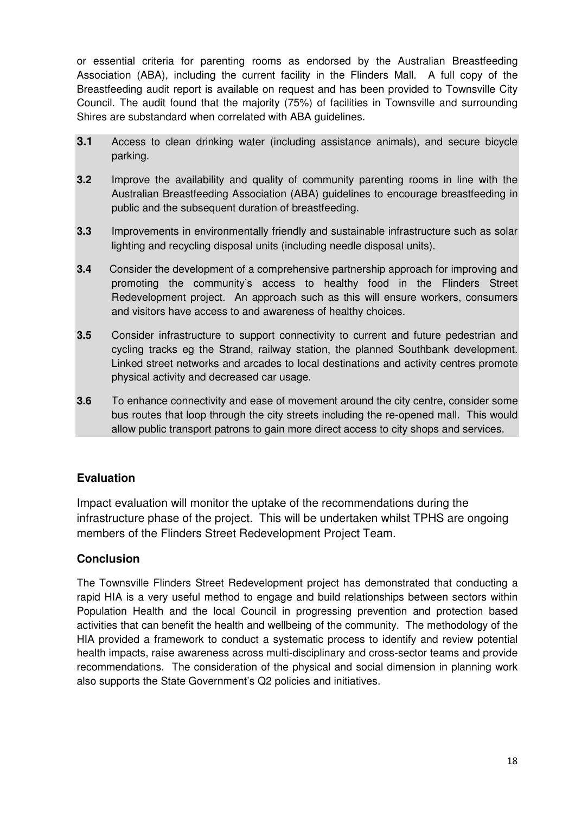or essential criteria for parenting rooms as endorsed by the Australian Breastfeeding Association (ABA), including the current facility in the Flinders Mall. A full copy of the Breastfeeding audit report is available on request and has been provided to Townsville City Council. The audit found that the majority (75%) of facilities in Townsville and surrounding Shires are substandard when correlated with ABA guidelines.

- **3.1** Access to clean drinking water (including assistance animals), and secure bicycle parking.
- **3.2** Improve the availability and quality of community parenting rooms in line with the Australian Breastfeeding Association (ABA) guidelines to encourage breastfeeding in public and the subsequent duration of breastfeeding.
- **3.3** Improvements in environmentally friendly and sustainable infrastructure such as solar lighting and recycling disposal units (including needle disposal units).
- **3.4** Consider the development of a comprehensive partnership approach for improving and promoting the community's access to healthy food in the Flinders Street Redevelopment project. An approach such as this will ensure workers, consumers and visitors have access to and awareness of healthy choices.
- **3.5** Consider infrastructure to support connectivity to current and future pedestrian and cycling tracks eg the Strand, railway station, the planned Southbank development. Linked street networks and arcades to local destinations and activity centres promote physical activity and decreased car usage.
- **3.6** To enhance connectivity and ease of movement around the city centre, consider some bus routes that loop through the city streets including the re-opened mall. This would allow public transport patrons to gain more direct access to city shops and services.

# **Evaluation**

Impact evaluation will monitor the uptake of the recommendations during the infrastructure phase of the project. This will be undertaken whilst TPHS are ongoing members of the Flinders Street Redevelopment Project Team.

# **Conclusion**

The Townsville Flinders Street Redevelopment project has demonstrated that conducting a rapid HIA is a very useful method to engage and build relationships between sectors within Population Health and the local Council in progressing prevention and protection based activities that can benefit the health and wellbeing of the community. The methodology of the HIA provided a framework to conduct a systematic process to identify and review potential health impacts, raise awareness across multi-disciplinary and cross-sector teams and provide recommendations. The consideration of the physical and social dimension in planning work also supports the State Government's Q2 policies and initiatives.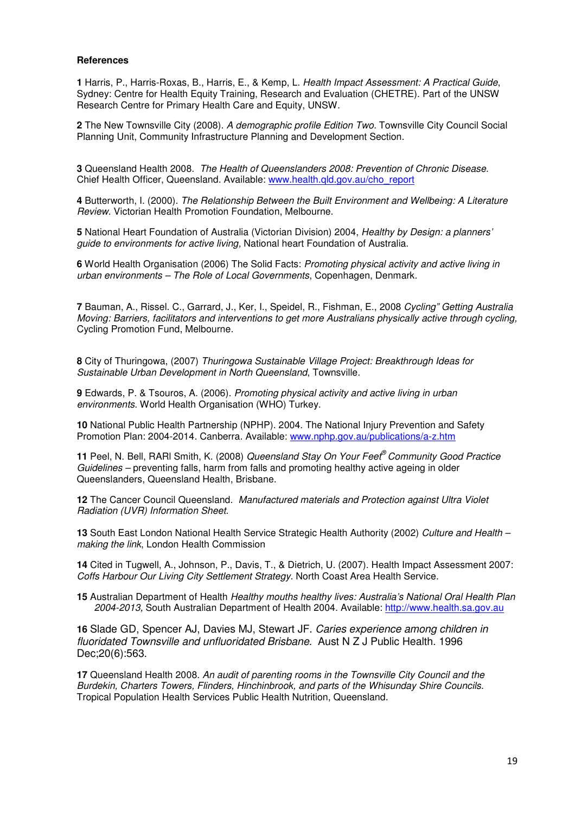#### **References**

**1** Harris, P., Harris-Roxas, B., Harris, E., & Kemp, L. Health Impact Assessment: A Practical Guide, Sydney: Centre for Health Equity Training, Research and Evaluation (CHETRE). Part of the UNSW Research Centre for Primary Health Care and Equity, UNSW.

**2** The New Townsville City (2008). A demographic profile Edition Two. Townsville City Council Social Planning Unit, Community Infrastructure Planning and Development Section.

**3** Queensland Health 2008. The Health of Queenslanders 2008: Prevention of Chronic Disease. Chief Health Officer, Queensland. Available: www.health.qld.gov.au/cho\_report

**4** Butterworth, I. (2000). The Relationship Between the Built Environment and Wellbeing: A Literature Review. Victorian Health Promotion Foundation, Melbourne.

**5** National Heart Foundation of Australia (Victorian Division) 2004, Healthy by Design: a planners' guide to environments for active living, National heart Foundation of Australia.

**6** World Health Organisation (2006) The Solid Facts: Promoting physical activity and active living in urban environments – The Role of Local Governments, Copenhagen, Denmark.

**7** Bauman, A., Rissel. C., Garrard, J., Ker, I., Speidel, R., Fishman, E., 2008 Cycling" Getting Australia Moving: Barriers, facilitators and interventions to get more Australians physically active through cycling, Cycling Promotion Fund, Melbourne.

**8** City of Thuringowa, (2007) Thuringowa Sustainable Village Project: Breakthrough Ideas for Sustainable Urban Development in North Queensland, Townsville.

**9** Edwards, P. & Tsouros, A. (2006). Promoting physical activity and active living in urban environments. World Health Organisation (WHO) Turkey.

**10** National Public Health Partnership (NPHP). 2004. The National Injury Prevention and Safety Promotion Plan: 2004-2014. Canberra. Available: www.nphp.gov.au/publications/a-z.htm

**11** Peel, N. Bell, RARl Smith, K. (2008) Queensland Stay On Your Feet® Community Good Practice Guidelines – preventing falls, harm from falls and promoting healthy active ageing in older Queenslanders, Queensland Health, Brisbane.

**12** The Cancer Council Queensland. Manufactured materials and Protection against Ultra Violet Radiation (UVR) Information Sheet.

**13** South East London National Health Service Strategic Health Authority (2002) Culture and Health – making the link, London Health Commission

**14** Cited in Tugwell, A., Johnson, P., Davis, T., & Dietrich, U. (2007). Health Impact Assessment 2007: Coffs Harbour Our Living City Settlement Strategy. North Coast Area Health Service.

15 Australian Department of Health Healthy mouths healthy lives: Australia's National Oral Health Plan 2004-2013, South Australian Department of Health 2004. Available: http://www.health.sa.gov.au

**16** Slade GD, Spencer AJ, Davies MJ, Stewart JF. Caries experience among children in fluoridated Townsville and unfluoridated Brisbane. Aust N Z J Public Health. 1996 Dec;20(6):563.

**17** Queensland Health 2008. An audit of parenting rooms in the Townsville City Council and the Burdekin, Charters Towers, Flinders, Hinchinbrook, and parts of the Whisunday Shire Councils. Tropical Population Health Services Public Health Nutrition, Queensland.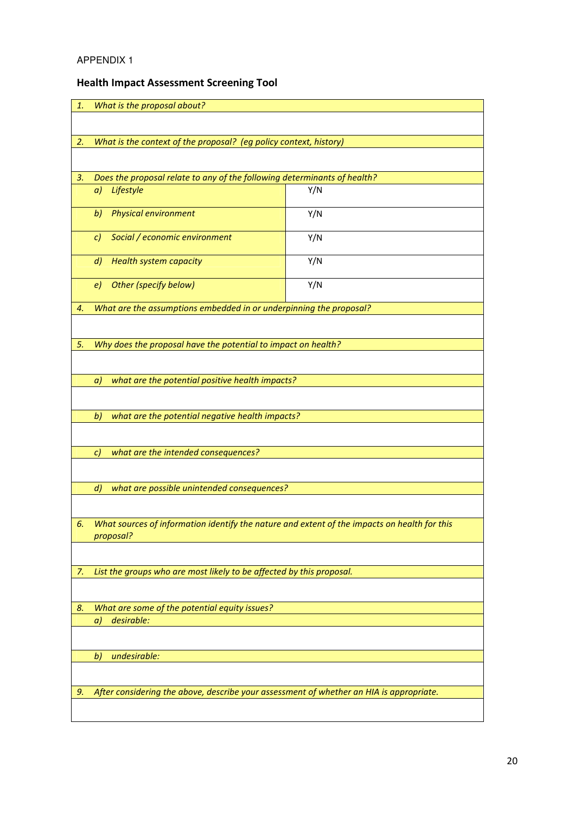# APPENDIX 1

# Health Impact Assessment Screening Tool

| 1. | What is the proposal about?                                                                               |     |  |  |  |
|----|-----------------------------------------------------------------------------------------------------------|-----|--|--|--|
|    |                                                                                                           |     |  |  |  |
|    |                                                                                                           |     |  |  |  |
| 2. | What is the context of the proposal? (eg policy context, history)                                         |     |  |  |  |
|    |                                                                                                           |     |  |  |  |
|    |                                                                                                           |     |  |  |  |
| 3. | Does the proposal relate to any of the following determinants of health?<br>Lifestyle<br>a)               | Y/N |  |  |  |
|    |                                                                                                           |     |  |  |  |
|    | <b>Physical environment</b><br>b)                                                                         | Y/N |  |  |  |
|    |                                                                                                           |     |  |  |  |
|    | Social / economic environment<br>C)                                                                       | Y/N |  |  |  |
|    | <b>Health system capacity</b><br>d)                                                                       | Y/N |  |  |  |
|    |                                                                                                           |     |  |  |  |
|    | Other (specify below)<br>e)                                                                               | Y/N |  |  |  |
|    |                                                                                                           |     |  |  |  |
| 4. | What are the assumptions embedded in or underpinning the proposal?                                        |     |  |  |  |
|    |                                                                                                           |     |  |  |  |
| 5. | Why does the proposal have the potential to impact on health?                                             |     |  |  |  |
|    |                                                                                                           |     |  |  |  |
|    |                                                                                                           |     |  |  |  |
|    | what are the potential positive health impacts?<br>a)                                                     |     |  |  |  |
|    |                                                                                                           |     |  |  |  |
|    | what are the potential negative health impacts?<br>b)                                                     |     |  |  |  |
|    |                                                                                                           |     |  |  |  |
|    |                                                                                                           |     |  |  |  |
|    | what are the intended consequences?<br>C)                                                                 |     |  |  |  |
|    |                                                                                                           |     |  |  |  |
|    | what are possible unintended consequences?<br>$\left  d \right $                                          |     |  |  |  |
|    |                                                                                                           |     |  |  |  |
|    |                                                                                                           |     |  |  |  |
| 6. | What sources of information identify the nature and extent of the impacts on health for this<br>proposal? |     |  |  |  |
|    |                                                                                                           |     |  |  |  |
|    |                                                                                                           |     |  |  |  |
| 7. | List the groups who are most likely to be affected by this proposal.                                      |     |  |  |  |
|    |                                                                                                           |     |  |  |  |
| 8. | What are some of the potential equity issues?                                                             |     |  |  |  |
|    | desirable:<br>a)                                                                                          |     |  |  |  |
|    |                                                                                                           |     |  |  |  |
|    |                                                                                                           |     |  |  |  |
|    | undesirable:<br>b)                                                                                        |     |  |  |  |
|    |                                                                                                           |     |  |  |  |
| 9. | After considering the above, describe your assessment of whether an HIA is appropriate.                   |     |  |  |  |
|    |                                                                                                           |     |  |  |  |
|    |                                                                                                           |     |  |  |  |